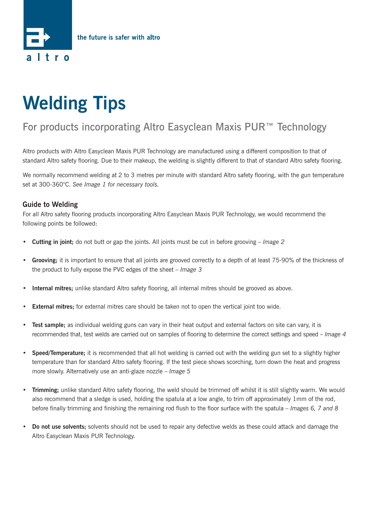

## **Welding Tips**

## For products incorporating Altro Easyclean Maxis PUR<sup>™</sup> Technology

Altro products with Altro Easyclean Maxis PUR Technology are manufactured using a different composition to that of standard Altro safety flooring. Due to their makeup, the welding is slightly different to that of standard Altro safety flooring.

We normally recommend welding at 2 to 3 metres per minute with standard Altro safety flooring, with the gun temperature set at 300-360°C. *See Image 1 for necessary tools.*

## **Guide to Welding**

For all Altro safety flooring products incorporating Altro Easyclean Maxis PUR Technology, we would recommend the following points be followed:

- **Cutting in joint;** do not butt or gap the joints. All joints must be cut in before grooving *Image 2*
- **Grooving;** it is important to ensure that all joints are grooved correctly to a depth of at least 75-90% of the thickness of the product to fully expose the PVC edges of the sheet – *Image 3*
- **Internal mitres;** unlike standard Altro safety flooring, all internal mitres should be grooved as above.
- **External mitres;** for external mitres care should be taken not to open the vertical joint too wide.
- **Test sample;** as individual welding guns can vary in their heat output and external factors on site can vary, it is recommended that, test welds are carried out on samples of flooring to determine the correct settings and speed – *Image 4*
- **Speed/Temperature;** it is recommended that all hot welding is carried out with the welding gun set to a slightly higher temperature than for standard Altro safety flooring. If the test piece shows scorching, turn down the heat and progress more slowly. Alternatively use an anti-glaze nozzle – *Image 5*
- **Trimming;** unlike standard Altro safety flooring, the weld should be trimmed off whilst it is still slightly warm. We would also recommend that a sledge is used, holding the spatula at a low angle, to trim off approximately 1mm of the rod, before finally trimming and finishing the remaining rod flush to the floor surface with the spatula – *Images 6, 7 and 8*
- **Do not use solvents;** solvents should not be used to repair any defective welds as these could attack and damage the Altro Easyclean Maxis PUR Technology.